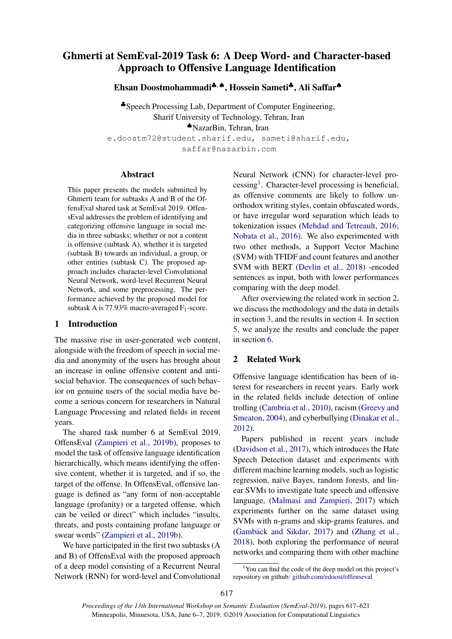# Ghmerti at SemEval-2019 Task 6: A Deep Word- and Character-based Approach to Offensive Language Identification

Ehsan Doostmohammadi♣, ♠, Hossein Sameti♣, Ali Saffar♠

♣Speech Processing Lab, Department of Computer Engineering, Sharif University of Technology, Tehran, Iran ♠NazarBin, Tehran, Iran e.doostm72@student.sharif.edu, sameti@sharif.edu, saffar@nazarbin.com

#### Abstract

This paper presents the models submitted by Ghmerti team for subtasks A and B of the OffensEval shared task at SemEval 2019. OffensEval addresses the problem of identifying and categorizing offensive language in social media in three subtasks; whether or not a content is offensive (subtask A), whether it is targeted (subtask B) towards an individual, a group, or other entities (subtask C). The proposed approach includes character-level Convolutional Neural Network, word-level Recurrent Neural Network, and some preprocessing. The performance achieved by the proposed model for subtask A is 77.93% macro-averaged  $F_1$ -score.

### 1 Introduction

The massive rise in user-generated web content, alongside with the freedom of speech in social media and anonymity of the users has brought about an increase in online offensive content and antisocial behavior. The consequences of such behavior on genuine users of the social media have become a serious concern for researchers in Natural Language Processing and related fields in recent years.

The shared task number 6 at SemEval 2019, OffensEval [\(Zampieri et al.,](#page-4-0) [2019b\)](#page-4-0), proposes to model the task of offensive language identification hierarchically, which means identifying the offensive content, whether it is targeted, and if so, the target of the offense. In OffensEval, offensive language is defined as "any form of non-acceptable language (profanity) or a targeted offense, which can be veiled or direct" which includes "insults, threats, and posts containing profane language or swear words" [\(Zampieri et al.,](#page-4-0) [2019b\)](#page-4-0).

We have participated in the first two subtasks (A and B) of OffensEval with the proposed approach of a deep model consisting of a Recurrent Neural Network (RNN) for word-level and Convolutional Neural Network (CNN) for character-level pro-cessing<sup>[1](#page-0-0)</sup>. Character-level processing is beneficial, as offensive comments are likely to follow unorthodox writing styles, contain obfuscated words, or have irregular word separation which leads to tokenization issues [\(Mehdad and Tetreault,](#page-4-1) [2016;](#page-4-1) [Nobata et al.,](#page-4-2) [2016\)](#page-4-2). We also experimented with two other methods, a Support Vector Machine (SVM) with TFIDF and count features and another SVM with BERT [\(Devlin et al.,](#page-4-3) [2018\)](#page-4-3) -encoded sentences as input, both with lower performances comparing with the deep model.

After overviewing the related work in section [2,](#page-0-1) we discuss the methodology and the data in details in section [3,](#page-1-0) and the results in section [4.](#page-2-0) In section [5,](#page-3-0) we analyze the results and conclude the paper in section [6.](#page-3-1)

#### <span id="page-0-1"></span>2 Related Work

Offensive language identification has been of interest for researchers in recent years. Early work in the related fields include detection of online trolling [\(Cambria et al.,](#page-4-4) [2010\)](#page-4-4), racism [\(Greevy and](#page-4-5) [Smeaton,](#page-4-5) [2004\)](#page-4-5), and cyberbullying [\(Dinakar et al.,](#page-4-6) [2012\)](#page-4-6).

Papers published in recent years include [\(Davidson et al.,](#page-4-7) [2017\)](#page-4-7), which introduces the Hate Speech Detection dataset and experiments with different machine learning models, such as logistic regression, naïve Bayes, random forests, and linear SVMs to investigate hate speech and offensive language, [\(Malmasi and Zampieri,](#page-4-8) [2017\)](#page-4-8) which experiments further on the same dataset using SVMs with n-grams and skip-grams features, and (Gambäck and Sikdar, [2017\)](#page-4-9) and [\(Zhang et al.,](#page-4-10) [2018\)](#page-4-10), both exploring the performance of neural networks and comparing them with other machine

<span id="page-0-0"></span> $1$ You can find the code of the deep model on this project's repository on github: [github.com/edoost/offenseval](https://github.com/edoost/offenseval)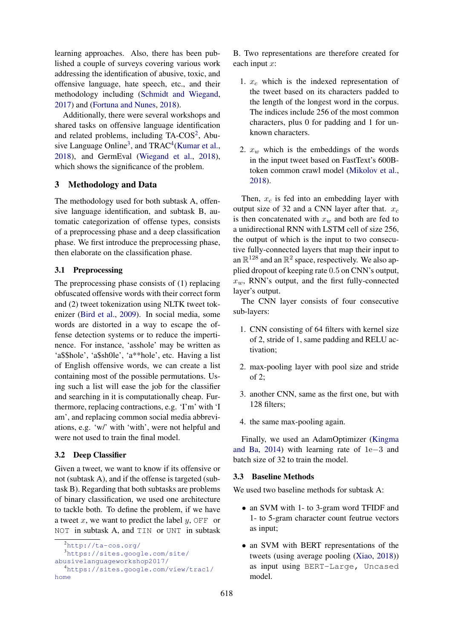learning approaches. Also, there has been published a couple of surveys covering various work addressing the identification of abusive, toxic, and offensive language, hate speech, etc., and their methodology including [\(Schmidt and Wiegand,](#page-4-11) [2017\)](#page-4-11) and [\(Fortuna and Nunes,](#page-4-12) [2018\)](#page-4-12).

Additionally, there were several workshops and shared tasks on offensive language identification and related problems, including TA-COS<sup>[2](#page-1-1)</sup>, Abu-sive Language Online<sup>[3](#page-1-2)</sup>, and  $TRAC<sup>4</sup>(Kumar et al.,$  $TRAC<sup>4</sup>(Kumar et al.,$  $TRAC<sup>4</sup>(Kumar et al.,$  $TRAC<sup>4</sup>(Kumar et al.,$ [2018\)](#page-4-13), and GermEval [\(Wiegand et al.,](#page-4-14) [2018\)](#page-4-14), which shows the significance of the problem.

# <span id="page-1-0"></span>3 Methodology and Data

The methodology used for both subtask A, offensive language identification, and subtask B, automatic categorization of offense types, consists of a preprocessing phase and a deep classification phase. We first introduce the preprocessing phase, then elaborate on the classification phase.

## 3.1 Preprocessing

The preprocessing phase consists of (1) replacing obfuscated offensive words with their correct form and (2) tweet tokenization using NLTK tweet tokenizer [\(Bird et al.,](#page-3-2) [2009\)](#page-3-2). In social media, some words are distorted in a way to escape the offense detection systems or to reduce the impertinence. For instance, 'asshole' may be written as 'a\$\$hole', 'a\$sh0le', 'a\*\*hole', etc. Having a list of English offensive words, we can create a list containing most of the possible permutations. Using such a list will ease the job for the classifier and searching in it is computationally cheap. Furthermore, replacing contractions, e.g. 'I'm' with 'I am', and replacing common social media abbreviations, e.g. 'w/' with 'with', were not helpful and were not used to train the final model.

#### <span id="page-1-5"></span>3.2 Deep Classifier

Given a tweet, we want to know if its offensive or not (subtask A), and if the offense is targeted (subtask B). Regarding that both subtasks are problems of binary classification, we used one architecture to tackle both. To define the problem, if we have a tweet x, we want to predict the label  $y$ , OFF or NOT in subtask A, and TIN or UNT in subtask

B. Two representations are therefore created for each input x:

- 1.  $x_c$  which is the indexed representation of the tweet based on its characters padded to the length of the longest word in the corpus. The indices include 256 of the most common characters, plus 0 for padding and 1 for unknown characters.
- 2.  $x_w$  which is the embeddings of the words in the input tweet based on FastText's 600Btoken common crawl model [\(Mikolov et al.,](#page-4-15) [2018\)](#page-4-15).

Then,  $x_c$  is fed into an embedding layer with output size of 32 and a CNN layer after that.  $x_c$ is then concatenated with  $x_w$  and both are fed to a unidirectional RNN with LSTM cell of size 256, the output of which is the input to two consecutive fully-connected layers that map their input to an  $\mathbb{R}^{128}$  and an  $\mathbb{R}^2$  space, respectively. We also applied dropout of keeping rate 0.5 on CNN's output,  $x_w$ , RNN's output, and the first fully-connected layer's output.

The CNN layer consists of four consecutive sub-layers:

- 1. CNN consisting of 64 filters with kernel size of 2, stride of 1, same padding and RELU activation;
- 2. max-pooling layer with pool size and stride of 2;
- 3. another CNN, same as the first one, but with 128 filters;
- 4. the same max-pooling again.

Finally, we used an AdamOptimizer [\(Kingma](#page-4-16) [and Ba,](#page-4-16) [2014\)](#page-4-16) with learning rate of 1e−3 and batch size of 32 to train the model.

#### <span id="page-1-4"></span>3.3 Baseline Methods

We used two baseline methods for subtask A:

- an SVM with 1- to 3-gram word TFIDF and 1- to 5-gram character count feutrue vectors as input;
- an SVM with BERT representations of the tweets (using average pooling [\(Xiao,](#page-4-17) [2018\)](#page-4-17)) as input using BERT-Large, Uncased model.

<span id="page-1-3"></span><span id="page-1-2"></span><span id="page-1-1"></span><sup>2</sup><http://ta-cos.org/> <sup>3</sup>[https://sites.google.com/site/](https://sites.google.com/site/abusivelanguageworkshop2017/) [abusivelanguageworkshop2017/](https://sites.google.com/site/abusivelanguageworkshop2017/) <sup>4</sup>[https://sites.google.com/view/trac1/](https://sites.google.com/view/trac1/home) [home](https://sites.google.com/view/trac1/home)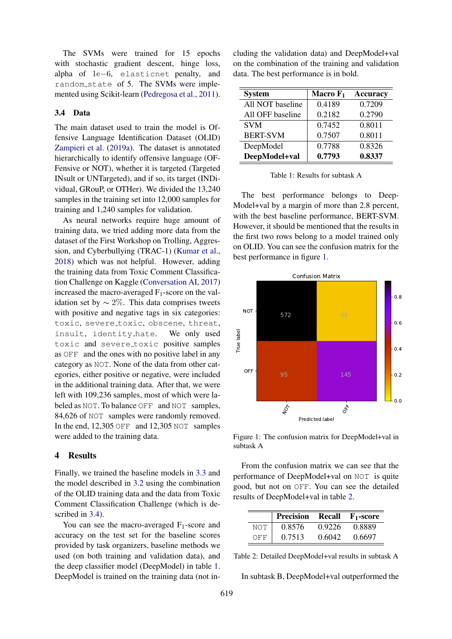The SVMs were trained for 15 epochs with stochastic gradient descent, hinge loss, alpha of 1e−6, elasticnet penalty, and random state of 5. The SVMs were implemented using Scikit-learn [\(Pedregosa et al.,](#page-4-18) [2011\)](#page-4-18).

#### <span id="page-2-1"></span>3.4 Data

The main dataset used to train the model is Offensive Language Identification Dataset (OLID) [Zampieri et al.](#page-4-19) [\(2019a\)](#page-4-19). The dataset is annotated hierarchically to identify offensive language (OF-Fensive or NOT), whether it is targeted (Targeted INsult or UNTargeted), and if so, its target (INDividual, GRouP, or OTHer). We divided the 13,240 samples in the training set into 12,000 samples for training and 1,240 samples for validation.

As neural networks require huge amount of training data, we tried adding more data from the dataset of the First Workshop on Trolling, Aggression, and Cyberbullying (TRAC-1) [\(Kumar et al.,](#page-4-13) [2018\)](#page-4-13) which was not helpful. However, adding the training data from Toxic Comment Classification Challenge on Kaggle [\(Conversation AI,](#page-4-20) [2017\)](#page-4-20) increased the macro-averaged  $F_1$ -score on the validation set by  $\sim$  2%. This data comprises tweets with positive and negative tags in six categories: toxic, severe\_toxic, obscene, threat, insult, identity hate. We only used toxic and severe toxic positive samples as OFF and the ones with no positive label in any category as NOT. None of the data from other categories, either positive or negative, were included in the additional training data. After that, we were left with 109,236 samples, most of which were labeled as NOT. To balance OFF and NOT samples, 84,626 of NOT samples were randomly removed. In the end, 12,305 OFF and 12,305 NOT samples were added to the training data.

#### <span id="page-2-0"></span>4 Results

Finally, we trained the baseline models in [3.3](#page-1-4) and the model described in [3.2](#page-1-5) using the combination of the OLID training data and the data from Toxic Comment Classification Challenge (which is de-scribed in [3.4\)](#page-2-1).

You can see the macro-averaged  $F_1$ -score and accuracy on the test set for the baseline scores provided by task organizers, baseline methods we used (on both training and validation data), and the deep classifier model (DeepModel) in table [1.](#page-2-2) DeepModel is trained on the training data (not including the validation data) and DeepModel+val on the combination of the training and validation data. The best performance is in bold.

<span id="page-2-2"></span>

| <b>System</b>    | Macro $F_1$ | <b>Accuracy</b> |
|------------------|-------------|-----------------|
| All NOT baseline | 0.4189      | 0.7209          |
| All OFF baseline | 0.2182      | 0.2790          |
| <b>SVM</b>       | 0.7452      | 0.8011          |
| <b>BERT-SVM</b>  | 0.7507      | 0.8011          |
| DeepModel        | 0.7788      | 0.8326          |
| DeepModel+val    | 0.7793      | 0.8337          |

Table 1: Results for subtask A

The best performance belongs to Deep-Model+val by a margin of more than 2.8 percent, with the best baseline performance, BERT-SVM. However, it should be mentioned that the results in the first two rows belong to a model trained only on OLID. You can see the confusion matrix for the best performance in figure [1.](#page-2-3)

<span id="page-2-3"></span>

Figure 1: The confusion matrix for DeepModel+val in subtask A

From the confusion matrix we can see that the performance of DeepModel+val on NOT is quite good, but not on OFF. You can see the detailed results of DeepModel+val in table [2.](#page-2-4)

<span id="page-2-4"></span>

|     | <b>Precision Recall <math>F_1</math>-score</b> |        |        |
|-----|------------------------------------------------|--------|--------|
| NOT | 0.8576                                         | 0.9226 | 0.8889 |
| OFF | 0.7513                                         | 0.6042 | 0.6697 |

Table 2: Detailed DeepModel+val results in subtask A

In subtask B, DeepModel+val outperformed the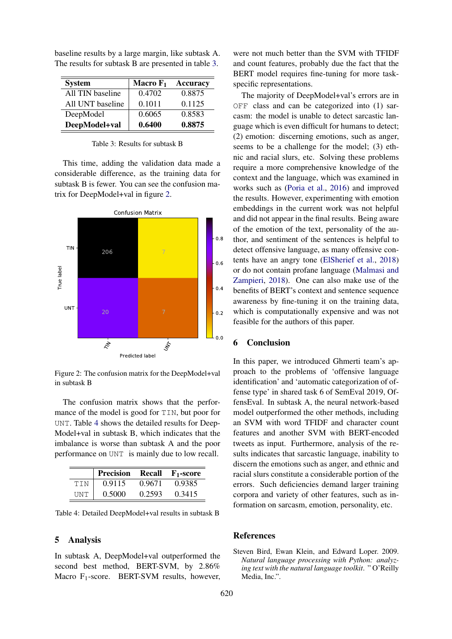<span id="page-3-3"></span>

| <b>System</b>    | Macro $F_1$ | <b>Accuracy</b> |
|------------------|-------------|-----------------|
| All TIN baseline | 0.4702      | 0.8875          |
| All UNT baseline | 0.1011      | 0.1125          |
| DeepModel        | 0.6065      | 0.8583          |
| DeepModel+val    | 0.6400      | 0.8875          |

baseline results by a large margin, like subtask A. The results for subtask B are presented in table [3.](#page-3-3)

#### Table 3: Results for subtask B

This time, adding the validation data made a considerable difference, as the training data for subtask B is fewer. You can see the confusion matrix for DeepModel+val in figure [2.](#page-3-4)

<span id="page-3-4"></span>

Figure 2: The confusion matrix for the DeepModel+val in subtask B

The confusion matrix shows that the performance of the model is good for TIN, but poor for UNT. Table [4](#page-3-5) shows the detailed results for Deep-Model+val in subtask B, which indicates that the imbalance is worse than subtask A and the poor performance on UNT is mainly due to low recall.

<span id="page-3-5"></span>

|            | <b>Precision</b> |        | <b>Recall F</b> <sub>1</sub> -score |
|------------|------------------|--------|-------------------------------------|
| TIN        | 0.9115           | 0.9671 | 0.9385                              |
| <b>UNT</b> | 0.5000           | 0.2593 | 0.3415                              |

Table 4: Detailed DeepModel+val results in subtask B

#### <span id="page-3-0"></span>5 Analysis

In subtask A, DeepModel+val outperformed the second best method, BERT-SVM, by 2.86% Macro  $F_1$ -score. BERT-SVM results, however,

were not much better than the SVM with TFIDF and count features, probably due the fact that the BERT model requires fine-tuning for more taskspecific representations.

The majority of DeepModel+val's errors are in OFF class and can be categorized into (1) sarcasm: the model is unable to detect sarcastic language which is even difficult for humans to detect; (2) emotion: discerning emotions, such as anger, seems to be a challenge for the model; (3) ethnic and racial slurs, etc. Solving these problems require a more comprehensive knowledge of the context and the language, which was examined in works such as [\(Poria et al.,](#page-4-21) [2016\)](#page-4-21) and improved the results. However, experimenting with emotion embeddings in the current work was not helpful and did not appear in the final results. Being aware of the emotion of the text, personality of the author, and sentiment of the sentences is helpful to detect offensive language, as many offensive contents have an angry tone [\(ElSherief et al.,](#page-4-22) [2018\)](#page-4-22) or do not contain profane language [\(Malmasi and](#page-4-23) [Zampieri,](#page-4-23) [2018\)](#page-4-23). One can also make use of the benefits of BERT's context and sentence sequence awareness by fine-tuning it on the training data, which is computationally expensive and was not feasible for the authors of this paper.

#### <span id="page-3-1"></span>6 Conclusion

In this paper, we introduced Ghmerti team's approach to the problems of 'offensive language identification' and 'automatic categorization of offense type' in shared task 6 of SemEval 2019, OffensEval. In subtask A, the neural network-based model outperformed the other methods, including an SVM with word TFIDF and character count features and another SVM with BERT-encoded tweets as input. Furthermore, analysis of the results indicates that sarcastic language, inability to discern the emotions such as anger, and ethnic and racial slurs constitute a considerable portion of the errors. Such deficiencies demand larger training corpora and variety of other features, such as information on sarcasm, emotion, personality, etc.

### References

<span id="page-3-2"></span>Steven Bird, Ewan Klein, and Edward Loper. 2009. *Natural language processing with Python: analyzing text with the natural language toolkit*. " O'Reilly Media, Inc.".